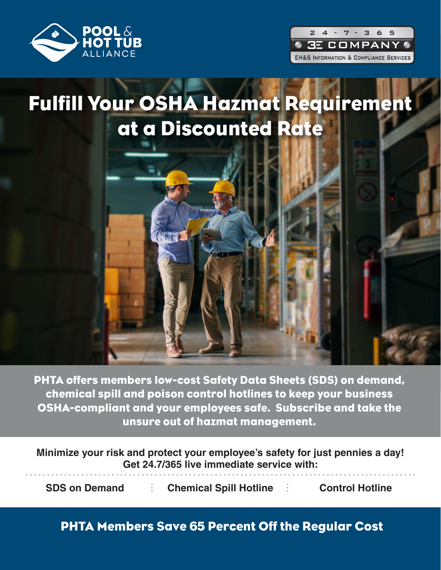



## Fulfill Your OSHA Hazmat Requirement at a Discounted Rate



PHTA offers members low-cost Safety Data Sheets (SDS) on demand, chemical spill and poison control hotlines to keep your business OSHA-compliant and your employees safe. Subscribe and take the unsure out of hazmat management.

**Minimize your risk and protect your employee's safety for just pennies a day! Get 24.7/365 live immediate service with:**

**SDS on Demand**  $\vdots$  **Chemical Spill Hotline**  $\vdots$  **Control Hotline** 

PHTA Members Save 65 Percent Off the Regular Cost